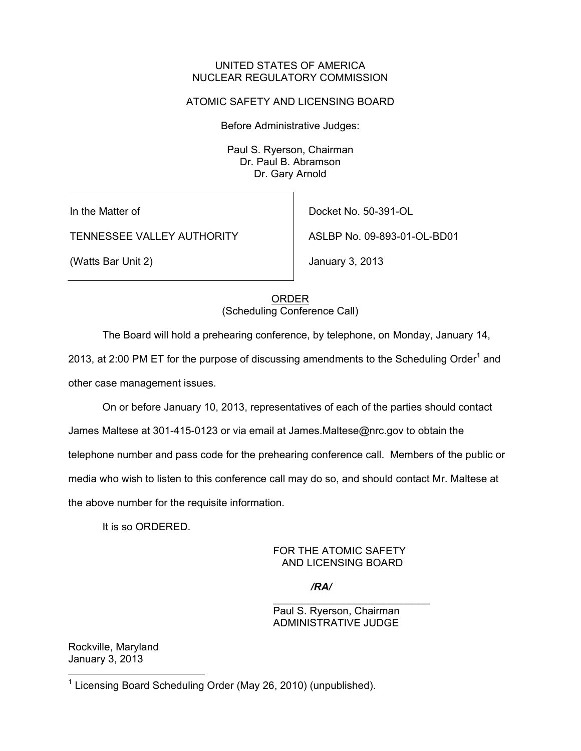### UNITED STATES OF AMERICA NUCLEAR REGULATORY COMMISSION

# ATOMIC SAFETY AND LICENSING BOARD

Before Administrative Judges:

Paul S. Ryerson, Chairman Dr. Paul B. Abramson Dr. Gary Arnold

In the Matter of

TENNESSEE VALLEY AUTHORITY

(Watts Bar Unit 2)

Docket No. 50-391-OL

ASLBP No. 09-893-01-OL-BD01

January 3, 2013

ORDER (Scheduling Conference Call)

The Board will hold a prehearing conference, by telephone, on Monday, January 14,

2013, at 2:00 PM ET for the purpose of discussing amendments to the Scheduling Order<sup>1</sup> and other case management issues.

On or before January 10, 2013, representatives of each of the parties should contact

James Maltese at 301-415-0123 or via email at James.Maltese@nrc.gov to obtain the

telephone number and pass code for the prehearing conference call. Members of the public or

media who wish to listen to this conference call may do so, and should contact Mr. Maltese at

the above number for the requisite information.

It is so ORDERED.

### FOR THE ATOMIC SAFETY AND LICENSING BOARD

*/RA/*

Paul S. Ryerson, Chairman ADMINISTRATIVE JUDGE

\_\_\_\_\_\_\_\_\_\_\_\_\_\_\_\_\_\_\_\_\_\_\_\_\_\_\_

Rockville, Maryland January 3, 2013

 $\overline{a}$ 

<sup>&</sup>lt;sup>1</sup> Licensing Board Scheduling Order (May 26, 2010) (unpublished).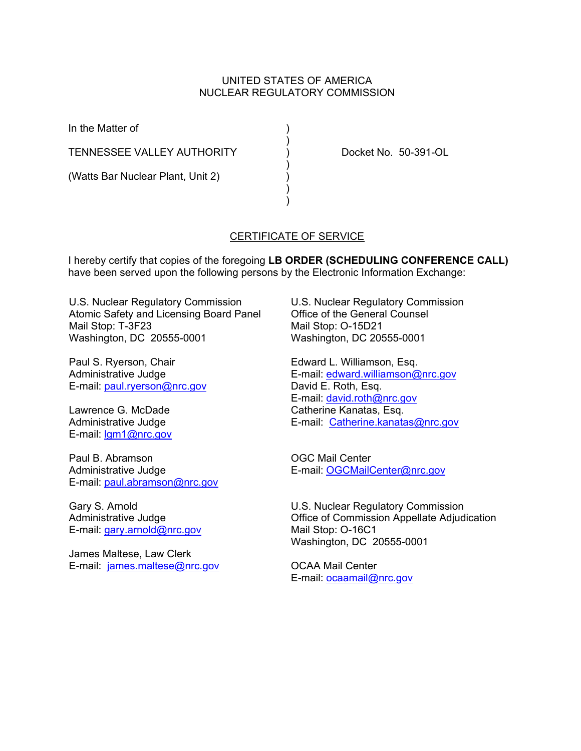### UNITED STATES OF AMERICA NUCLEAR REGULATORY COMMISSION

In the Matter of )

TENNESSEE VALLEY AUTHORITY ) Docket No. 50-391-OL

 $)$ 

 $)$ 

 $)$  $)$ 

(Watts Bar Nuclear Plant, Unit 2)

# CERTIFICATE OF SERVICE

I hereby certify that copies of the foregoing **LB ORDER (SCHEDULING CONFERENCE CALL)**  have been served upon the following persons by the Electronic Information Exchange:

U.S. Nuclear Regulatory Commission Atomic Safety and Licensing Board Panel Mail Stop: T-3F23 Washington, DC 20555-0001

Paul S. Ryerson, Chair Administrative Judge E-mail: paul.ryerson@nrc.gov

Lawrence G. McDade Administrative Judge E-mail: lgm1@nrc.gov

Paul B. Abramson Administrative Judge E-mail: paul.abramson@nrc.gov

Gary S. Arnold Administrative Judge E-mail: gary.arnold@nrc.gov

James Maltese, Law Clerk E-mail: james.maltese@nrc.gov U.S. Nuclear Regulatory Commission Office of the General Counsel Mail Stop: O-15D21 Washington, DC 20555-0001

Edward L. Williamson, Esq. E-mail: edward.williamson@nrc.gov David E. Roth, Esq. E-mail: david.roth@nrc.gov Catherine Kanatas, Esq. E-mail: Catherine.kanatas@nrc.gov

OGC Mail Center E-mail: OGCMailCenter@nrc.gov

U.S. Nuclear Regulatory Commission Office of Commission Appellate Adjudication Mail Stop: O-16C1 Washington, DC 20555-0001

OCAA Mail Center E-mail: ocaamail@nrc.gov